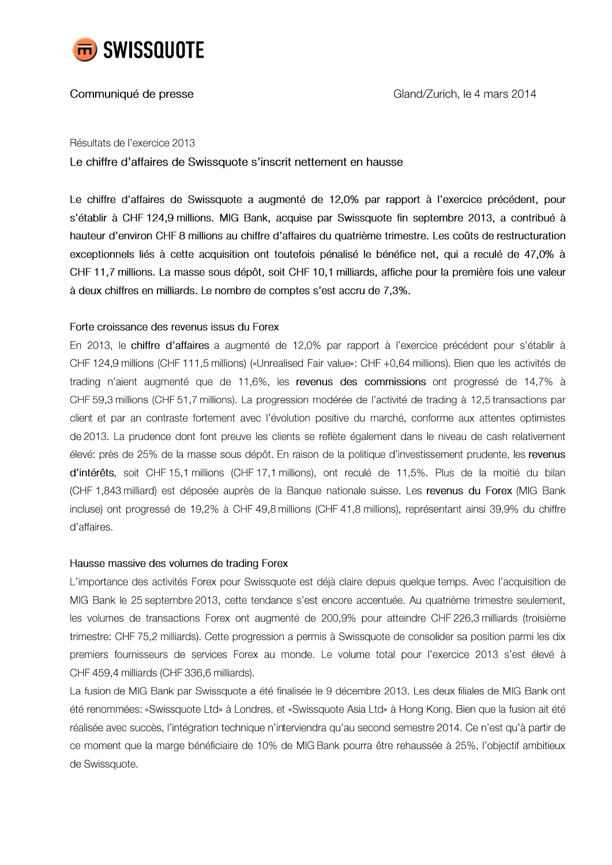

# Communiqué de presse

Résultats de l'exercice 2013

Le chiffre d'affaires de Swissquote s'inscrit nettement en hausse

Le chiffre d'affaires de Swissquote a augmenté de 12,0% par rapport à l'exercice précédent, pour s'établir à CHF 124,9 millions. MIG Bank, acquise par Swissquote fin septembre 2013, a contribué à hauteur d'environ CHF 8 millions au chiffre d'affaires du quatrième trimestre. Les coûts de restructuration exceptionnels liés à cette acquisition ont toutefois pénalisé le bénéfice net, qui a reculé de 47,0% à CHF 11,7 millions. La masse sous dépôt, soit CHF 10,1 milliards, affiche pour la première fois une valeur à deux chiffres en milliards. Le nombre de comptes s'est accru de 7,3%.

## Forte croissance des revenus issus du Forex

En 2013, le chiffre d'affaires a augmenté de 12,0% par rapport à l'exercice précédent pour s'établir à CHF 124,9 millions (CHF 111,5 millions) («Unrealised Fair value»: CHF +0,64 millions). Bien que les activités de trading n'aient augmenté que de 11,6%, les revenus des commissions ont progressé de 14,7% à CHF 59,3 millions (CHF 51,7 millions). La progression modérée de l'activité de trading à 12,5 transactions par client et par an contraste fortement avec l'évolution positive du marché, conforme aux attentes optimistes de 2013. La prudence dont font preuve les clients se reflète également dans le niveau de cash relativement élevé: près de 25% de la masse sous dépôt. En raison de la politique d'investissement prudente, les revenus d'intérêts, soit CHF 15,1 millions (CHF 17,1 millions), ont reculé de 11,5%. Plus de la moitié du bilan (CHF 1,843 milliard) est déposée auprès de la Banque nationale suisse. Les revenus du Forex (MIG Bank incluse) ont progressé de 19,2% à CHF 49,8 millions (CHF 41,8 millions), représentant ainsi 39,9% du chiffre d'affaires.

## Hausse massive des volumes de trading Forex

L'importance des activités Forex pour Swissquote est déjà claire depuis quelque temps. Avec l'acquisition de MIG Bank le 25 septembre 2013, cette tendance s'est encore accentuée. Au quatrième trimestre seulement, les volumes de transactions Forex ont augmenté de 200,9% pour atteindre CHF 226,3 milliards (troisième trimestre: CHF 75,2 milliards). Cette progression a permis à Swissquote de consolider sa position parmi les dix premiers fournisseurs de services Forex au monde. Le volume total pour l'exercice 2013 s'est élevé à CHF 459,4 milliards (CHF 336,6 milliards).

La fusion de MIG Bank par Swissquote a été finalisée le 9 décembre 2013. Les deux filiales de MIG Bank ont été renommées: «Swissquote Ltd» à Londres, et «Swissquote Asia Ltd» à Hong Kong. Bien que la fusion ait été réalisée avec succès, l'intégration technique n'interviendra qu'au second semestre 2014. Ce n'est qu'à partir de ce moment que la marge bénéficiaire de 10% de MIG Bank pourra être rehaussée à 25%, l'objectif ambitieux de Swissquote.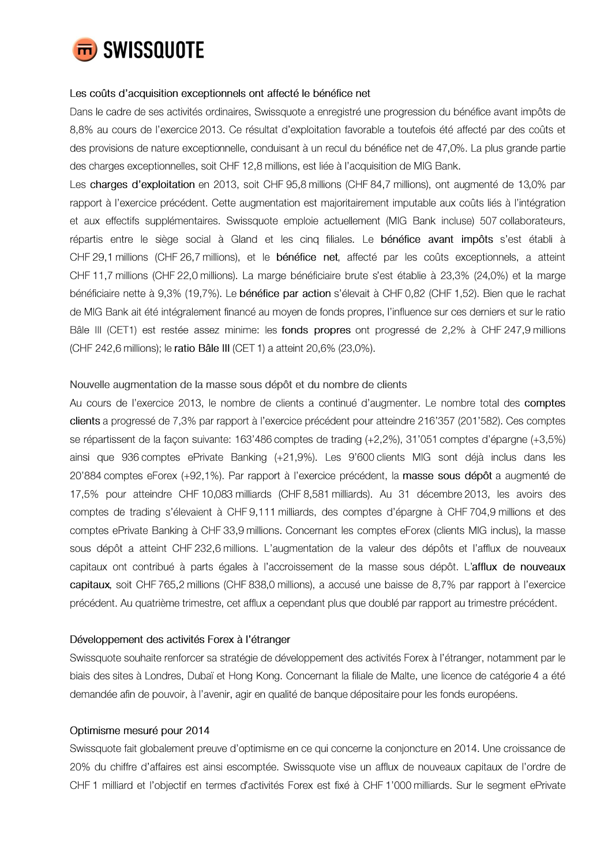

#### Les coûts d'acquisition exceptionnels ont affecté le bénéfice net

Dans le cadre de ses activités ordinaires, Swissquote a enregistré une progression du bénéfice avant impôts de 8,8% au cours de l'exercice 2013. Ce résultat d'exploitation favorable a toutefois été affecté par des coûts et des provisions de nature exceptionnelle, conduisant à un recul du bénéfice net de 47,0%. La plus grande partie des charges exceptionnelles, soit CHF 12,8 millions, est liée à l'acquisition de MIG Bank.

Les charges d'exploitation en 2013, soit CHF 95,8 millions (CHF 84,7 millions), ont augmenté de 13,0% par rapport à l'exercice précédent. Cette augmentation est majoritairement imputable aux coûts liés à l'intégration et aux effectifs supplémentaires. Swissquote emploie actuellement (MIG Bank incluse) 507 collaborateurs, répartis entre le siège social à Gland et les cinq filiales. Le bénéfice avant impôts s'est établi à CHF 29,1 millions (CHF 26,7 millions), et le bénéfice net, affecté par les coûts exceptionnels, a atteint CHF 11,7 millions (CHF 22,0 millions). La marge bénéficiaire brute s'est établie à 23,3% (24,0%) et la marge bénéficiaire nette à 9,3% (19,7%). Le bénéfice par action s'élevait à CHF 0,82 (CHF 1,52). Bien que le rachat de MIG Bank ait été intégralement financé au moyen de fonds propres, l'influence sur ces derniers et sur le ratio Bâle III (CET1) est restée assez minime: les fonds propres ont progressé de 2,2% à CHF 247,9 millions (CHF 242,6 millions); le ratio Bâle III (CET 1) a atteint 20,6% (23,0%).

## Nouvelle augmentation de la masse sous dépôt et du nombre de clients

Au cours de l'exercice 2013, le nombre de clients a continué d'augmenter. Le nombre total des comptes clients a progressé de 7,3% par rapport à l'exercice précédent pour atteindre 216'357 (201'582). Ces comptes se répartissent de la façon suivante: 163'486 comptes de trading (+2,2%), 31'051 comptes d'épargne (+3,5%) ainsi que 936 comptes ePrivate Banking (+21,9%). Les 9'600 clients MIG sont déjà inclus dans les 20'884 comptes eForex (+92,1%). Par rapport à l'exercice précédent, la masse sous dépôt a augmenté de 17,5% pour atteindre CHF 10,083 milliards (CHF 8,581 milliards). Au 31 décembre 2013, les avoirs des comptes de trading s'élevaient à CHF 9,111 milliards, des comptes d'épargne à CHF 704,9 millions et des comptes ePrivate Banking à CHF 33,9 millions. Concernant les comptes eForex (clients MIG inclus), la masse sous dépôt a atteint CHF 232,6 millions. L'augmentation de la valeur des dépôts et l'afflux de nouveaux capitaux ont contribué à parts égales à l'accroissement de la masse sous dépôt. L'afflux de nouveaux capitaux, soit CHF 765,2 millions (CHF 838,0 millions), a accusé une baisse de 8,7% par rapport à l'exercice précédent. Au quatrième trimestre, cet afflux a cependant plus que doublé par rapport au trimestre précédent.

## Développement des activités Forex à l'étranger

Swissquote souhaite renforcer sa stratégie de développement des activités Forex à l'étranger, notamment par le biais des sites à Londres, Dubaï et Hong Kong. Concernant la filiale de Malte, une licence de catégorie 4 a été demandée afin de pouvoir, à l'avenir, agir en qualité de banque dépositaire pour les fonds européens.

#### Optimisme mesuré pour 2014

Swissquote fait globalement preuve d'optimisme en ce qui concerne la conjoncture en 2014. Une croissance de 20% du chiffre d'affaires est ainsi escomptée. Swissquote vise un afflux de nouveaux capitaux de l'ordre de CHF 1 milliard et l'objectif en termes d'activités Forex est fixé à CHF 1'000 milliards. Sur le segment ePrivate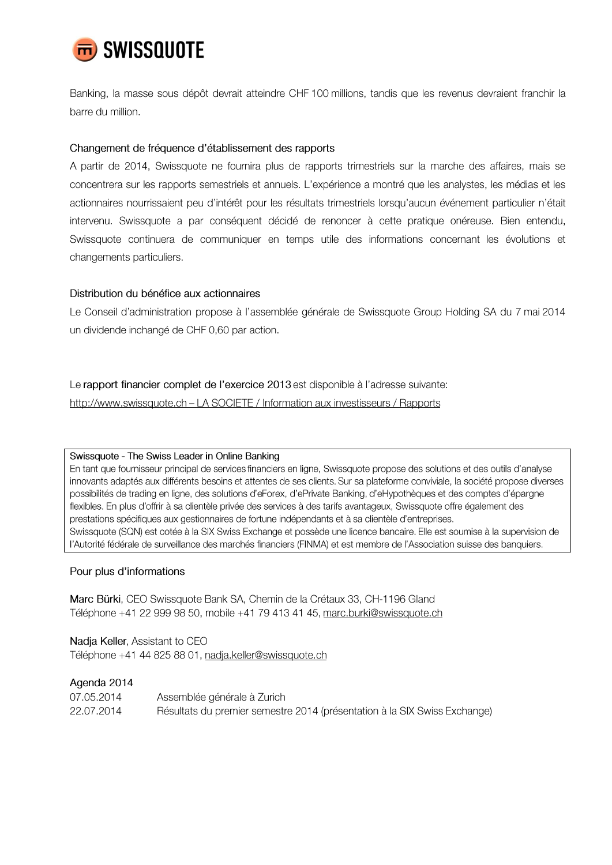

Banking, la masse sous dépôt devrait atteindre CHF 100 millions, tandis que les revenus devraient franchir la barre du million.

## Changement de fréquence d'établissement des rapports

A partir de 2014, Swissquote ne fournira plus de rapports trimestriels sur la marche des affaires, mais se concentrera sur les rapports semestriels et annuels. L'expérience a montré que les analystes, les médias et les actionnaires nourrissaient peu d'intérêt pour les résultats trimestriels lorsqu'aucun événement particulier n'était intervenu. Swissquote a par conséquent décidé de renoncer à cette pratique onéreuse. Bien entendu, Swissquote continuera de communiquer en temps utile des informations concernant les évolutions et changements particuliers.

## Distribution du bénéfice aux actionnaires

Le Conseil d'administration propose à l'assemblée générale de Swissquote Group Holding SA du 7 mai 2014 un dividende inchangé de CHF 0,60 par action.

## Le rapport financier complet de l'exercice 2013 est disponible à l'adresse suivante:

http://www.swissquote.ch - LA SOCIETE / Information aux investisseurs / Rapports

## Swissquote - The Swiss Leader in Online Banking

En tant que fournisseur principal de services financiers en ligne, Swissquote propose des solutions et des outils d'analyse innovants adaptés aux différents besoins et attentes de ses clients. Sur sa plateforme conviviale, la société propose diverses possibilités de trading en ligne, des solutions d'eForex, d'ePrivate Banking, d'eHypothèques et des comptes d'épargne flexibles. En plus d'offrir à sa clientèle privée des services à des tarifs avantageux, Swissquote offre également des prestations spécifiques aux gestionnaires de fortune indépendants et à sa clientèle d'entreprises. Swissquote (SQN) est cotée à la SIX Swiss Exchange et possède une licence bancaire. Elle est soumise à la supervision de l'Autorité fédérale de surveillance des marchés financiers (FINMA) et est membre de l'Association suisse des banquiers.

## Pour plus d'informations

Marc Bürki, CEO Swissquote Bank SA, Chemin de la Crétaux 33, CH-1196 Gland Téléphone +41 22 999 98 50, mobile +41 79 413 41 45, marc.burki@swissquote.ch

Nadja Keller, Assistant to CEO Téléphone +41 44 825 88 01, nadja.keller@swissquote.ch

## Agenda 2014

| 07.05.2014 | Assemblée générale à Zurich                                               |
|------------|---------------------------------------------------------------------------|
| 22.07.2014 | Résultats du premier semestre 2014 (présentation à la SIX Swiss Exchange) |